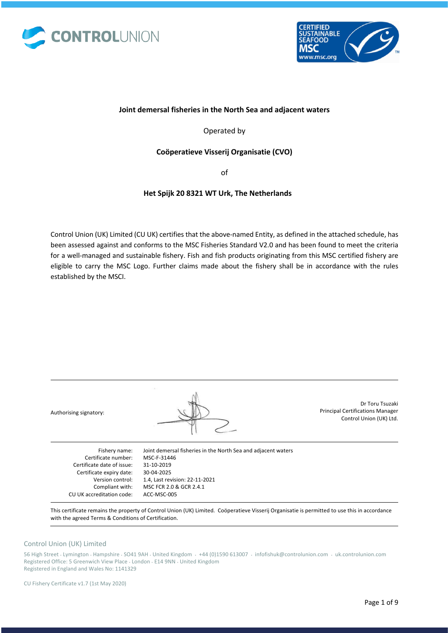



## **Joint demersal fisheries in the North Sea and adjacent waters**

Operated by

## **Coöperatieve Visserij Organisatie (CVO)**

of

## **Het Spijk 20 8321 WT Urk, The Netherlands**

Control Union (UK) Limited (CU UK) certifies that the above-named Entity, as defined in the attached schedule, has been assessed against and conforms to the MSC Fisheries Standard V2.0 and has been found to meet the criteria for a well-managed and sustainable fishery. Fish and fish products originating from this MSC certified fishery are eligible to carry the MSC Logo. Further claims made about the fishery shall be in accordance with the rules established by the MSCI.

| Authorising signatory:     |                                                               | Dr Toru Tsuzaki<br><b>Principal Certifications Manager</b><br>Control Union (UK) Ltd. |
|----------------------------|---------------------------------------------------------------|---------------------------------------------------------------------------------------|
| Fishery name:              | Joint demersal fisheries in the North Sea and adjacent waters |                                                                                       |
| Certificate number:        | MSC-F-31446                                                   |                                                                                       |
| Certificate date of issue: | 31-10-2019                                                    |                                                                                       |
| Certificate expiry date:   | 30-04-2025                                                    |                                                                                       |
| Version control:           | 1.4, Last revision: 22-11-2021                                |                                                                                       |

This certificate remains the property of Control Union (UK) Limited. Coöperatieve Visserij Organisatie is permitted to use this in accordance with the agreed Terms & Conditions of Certification.

### Control Union (UK) Limited

56 High Street • Lymington • Hampshire • SO41 9AH • United Kingdom • +44 (0)1590 613007 • infofishuk@controlunion.com • uk.controlunion.com Registered Office: 5 Greenwich View Place • London • E14 9NN • United Kingdom Registered in England and Wales No: 1141329

MSC FCR 2.0 & GCR 2.4.1

ACC-MSC-005

Compliant with: CU UK accreditation code: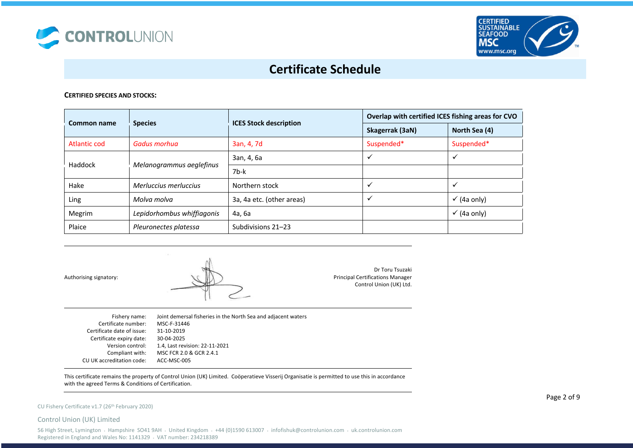



### **CERTIFIED SPECIES AND STOCKS:**

| Common name         | <b>Species</b>             | <b>ICES Stock description</b> | Overlap with certified ICES fishing areas for CVO |                        |
|---------------------|----------------------------|-------------------------------|---------------------------------------------------|------------------------|
|                     |                            |                               | Skagerrak (3aN)                                   | North Sea (4)          |
| <b>Atlantic cod</b> | Gadus morhua               | 3an, 4, 7d                    | Suspended*                                        | Suspended*             |
| Haddock             |                            | 3an, 4, 6a                    |                                                   |                        |
|                     | Melanogrammus aeglefinus   | 7b-k                          |                                                   |                        |
| Hake                | Merluccius merluccius      | Northern stock                |                                                   |                        |
| Ling                | Molva molva                | 3a, 4a etc. (other areas)     | v                                                 | $\checkmark$ (4a only) |
| Megrim              | Lepidorhombus whiffiagonis | 4а, 6а                        |                                                   | $\checkmark$ (4a only) |
| Plaice              | Pleuronectes platessa      | Subdivisions 21-23            |                                                   |                        |

Authorising signatory:



Dr Toru Tsuzaki Principal Certifications Manager Control Union (UK) Ltd.

| Fishery name:<br>Certificate number:<br>Certificate date of issue:<br>Certificate expiry date:<br>Version control: | Joint demersal fisheries in the North Sea and adjacent waters<br>MSC-F-31446<br>31-10-2019<br>30-04-2025<br>1.4, Last revision: 22-11-2021 |
|--------------------------------------------------------------------------------------------------------------------|--------------------------------------------------------------------------------------------------------------------------------------------|
|                                                                                                                    |                                                                                                                                            |
| Compliant with:                                                                                                    | MSC FCR 2.0 & GCR 2.4.1                                                                                                                    |
| CU UK accreditation code:                                                                                          | ACC-MSC-005                                                                                                                                |

This certificate remains the property of Control Union (UK) Limited. Coöperatieve Visserij Organisatie is permitted to use this in accordance with the agreed Terms & Conditions of Certification.

### CU Fishery Certificate v1.7 (26<sup>th</sup> February 2020)

Control Union (UK) Limited

56 High Street, Lymington • Hampshire SO41 9AH • United Kingdom • +44 (0)1590 613007 • infofishuk@controlunion.com • uk.controlunion.com Registered in England and Wales No: 1141329 • VAT number: 234218389

Page 2 of 9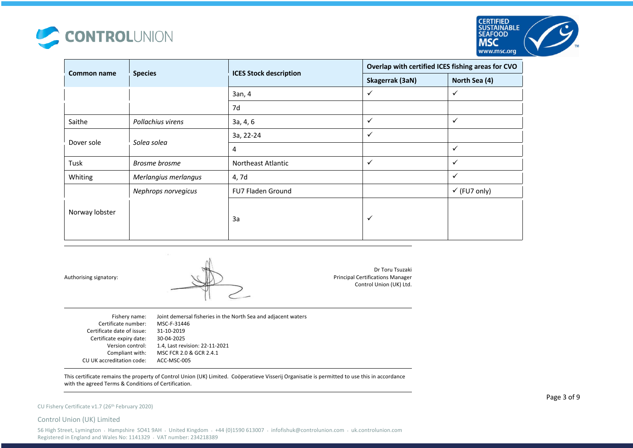



| Common name    |                      | <b>ICES Stock description</b> | Overlap with certified ICES fishing areas for CVO |                         |
|----------------|----------------------|-------------------------------|---------------------------------------------------|-------------------------|
|                | <b>Species</b>       |                               | Skagerrak (3aN)                                   | North Sea (4)           |
|                |                      | 3an, 4                        | $\checkmark$                                      | ✓                       |
|                |                      | 7d                            |                                                   |                         |
| Saithe         | Pollachius virens    | 3a, 4, 6                      | $\checkmark$                                      | ✓                       |
|                | Solea solea          | 3a, 22-24                     | $\checkmark$                                      |                         |
| Dover sole     |                      | 4                             |                                                   | ✓                       |
| Tusk           | Brosme brosme        | Northeast Atlantic            | $\checkmark$                                      | ✓                       |
| Whiting        | Merlangius merlangus | 4,7d                          |                                                   | ✓                       |
|                | Nephrops norvegicus  | <b>FU7 Fladen Ground</b>      |                                                   | $\checkmark$ (FU7 only) |
| Norway lobster |                      | 3a                            | $\checkmark$                                      |                         |

Authorising signatory:



Dr Toru Tsuzaki Principal Certifications Manager Control Union (UK) Ltd.

| Fishery name:              | Joint demersal fisheries in the North Sea and adjacent waters |
|----------------------------|---------------------------------------------------------------|
| Certificate number:        | MSC-F-31446                                                   |
| Certificate date of issue: | 31-10-2019                                                    |
| Certificate expiry date:   | 30-04-2025                                                    |
| Version control:           | 1.4, Last revision: 22-11-2021                                |
| Compliant with:            | MSC FCR 2.0 & GCR 2.4.1                                       |
| CU UK accreditation code:  | ACC-MSC-005                                                   |
|                            |                                                               |

This certificate remains the property of Control Union (UK) Limited. Coöperatieve Visserij Organisatie is permitted to use this in accordance with the agreed Terms & Conditions of Certification.

### CU Fishery Certificate v1.7 (26<sup>th</sup> February 2020)

Control Union (UK) Limited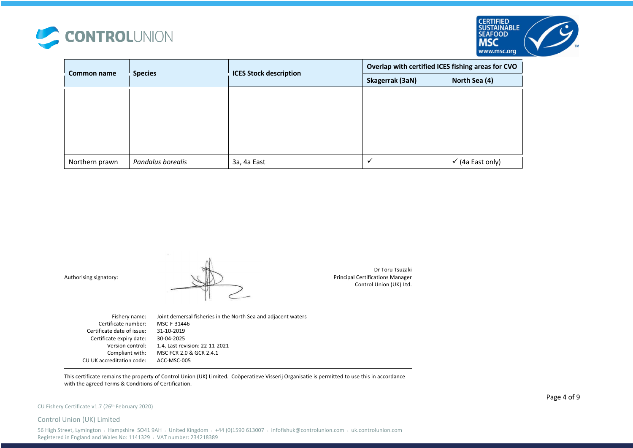



| <b>Common name</b> | <b>Species</b>    | <b>ICES Stock description</b> | Overlap with certified ICES fishing areas for CVO |                             |
|--------------------|-------------------|-------------------------------|---------------------------------------------------|-----------------------------|
|                    |                   |                               | Skagerrak (3aN)                                   | North Sea (4)               |
|                    |                   |                               |                                                   |                             |
|                    |                   |                               |                                                   |                             |
|                    |                   |                               |                                                   |                             |
|                    |                   |                               |                                                   |                             |
|                    |                   |                               |                                                   |                             |
| Northern prawn     | Pandalus borealis | 3a, 4a East                   |                                                   | $\checkmark$ (4a East only) |



This certificate remains the property of Control Union (UK) Limited. Coöperatieve Visserij Organisatie is permitted to use this in accordance with the agreed Terms & Conditions of Certification.

#### CU Fishery Certificate v1.7 (26th February 2020)

#### Control Union (UK) Limited

56 High Street, Lymington • Hampshire SO41 9AH • United Kingdom • +44 (0)1590 613007 • infofishuk@controlunion.com • uk.controlunion.com Registered in England and Wales No: 1141329 • VAT number: 234218389

Page 4 of 9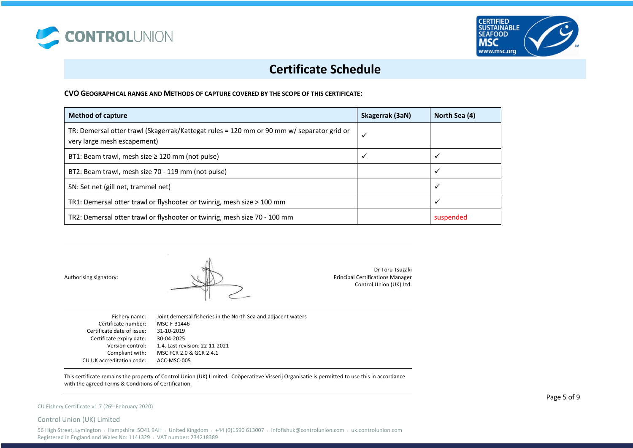



**CVO GEOGRAPHICAL RANGE AND METHODS OF CAPTURE COVERED BY THE SCOPE OF THIS CERTIFICATE:**

| <b>Method of capture</b>                                                                                                 | Skagerrak (3aN) | North Sea (4) |
|--------------------------------------------------------------------------------------------------------------------------|-----------------|---------------|
| TR: Demersal otter trawl (Skagerrak/Kattegat rules = 120 mm or 90 mm w/ separator grid or<br>very large mesh escapement) | $\checkmark$    |               |
| BT1: Beam trawl, mesh size $\geq$ 120 mm (not pulse)                                                                     | ✔               |               |
| BT2: Beam trawl, mesh size 70 - 119 mm (not pulse)                                                                       |                 |               |
| SN: Set net (gill net, trammel net)                                                                                      |                 | ✓             |
| TR1: Demersal otter trawl or flyshooter or twinrig, mesh size > 100 mm                                                   |                 |               |
| TR2: Demersal otter trawl or flyshooter or twinrig, mesh size 70 - 100 mm                                                |                 | suspended     |

Authorising signatory:



Dr Toru Tsuzaki Principal Certifications Manager Control Union (UK) Ltd.

| Fishery name:              | Joint demersal fisheries in the North Sea and adjacent waters |
|----------------------------|---------------------------------------------------------------|
| Certificate number:        | MSC-F-31446                                                   |
| Certificate date of issue: | 31-10-2019                                                    |
| Certificate expiry date:   | 30-04-2025                                                    |
| Version control:           | 1.4, Last revision: 22-11-2021                                |
| Compliant with:            | MSC FCR 2.0 & GCR 2.4.1                                       |
| CU UK accreditation code:  | ACC-MSC-005                                                   |
|                            |                                                               |

This certificate remains the property of Control Union (UK) Limited. Coöperatieve Visserij Organisatie is permitted to use this in accordance with the agreed Terms & Conditions of Certification.

#### CU Fishery Certificate v1.7 (26th February 2020)

Control Union (UK) Limited

56 High Street, Lymington • Hampshire SO41 9AH • United Kingdom • +44 (0)1590 613007 • infofishuk@controlunion.com • uk.controlunion.com Registered in England and Wales No: 1141329 • VAT number: 234218389

Page 5 of 9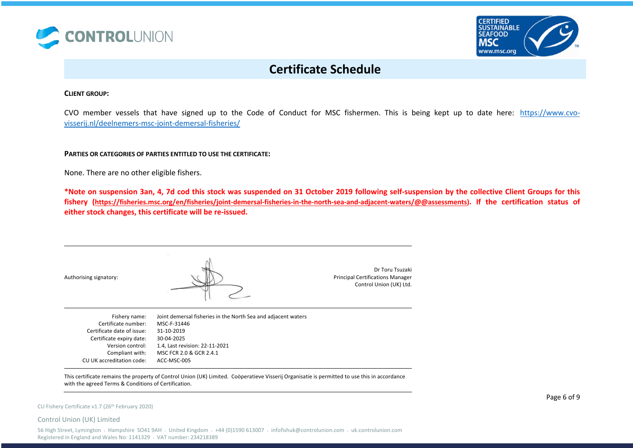



### **CLIENT GROUP:**

CVO member vessels that have signed up to the Code of Conduct for MSC fishermen. This is being kept up to date here: https://www.cvovisserij.nl/deelnemers-msc-joint-demersal-fisheries/

**PARTIES OR CATEGORIES OF PARTIES ENTITLED TO USE THE CERTIFICATE:** 

None. There are no other eligible fishers.

**\*Note on suspension 3an, 4, 7d cod this stock was suspended on 31 October 2019 following self-suspension by the collective Client Groups for this fishery (https://fisheries.msc.org/en/fisheries/joint-demersal-fisheries-in-the-north-sea-and-adjacent-waters/@@assessments). If the certification status of either stock changes, this certificate will be re-issued.** 

| Authorising signatory:     |                                                               | Dr Toru Tsuzaki<br><b>Principal Certifications Manager</b><br>Control Union (UK) Ltd. |
|----------------------------|---------------------------------------------------------------|---------------------------------------------------------------------------------------|
| Fishery name:              | Joint demersal fisheries in the North Sea and adjacent waters |                                                                                       |
| Certificate number:        | MSC-F-31446                                                   |                                                                                       |
| Certificate date of issue: | 31-10-2019                                                    |                                                                                       |
| Certificate expiry date:   | 30-04-2025                                                    |                                                                                       |
| Version control:           | 1.4, Last revision: 22-11-2021                                |                                                                                       |
| Compliant with:            | MSC FCR 2.0 & GCR 2.4.1                                       |                                                                                       |
| CU UK accreditation code:  | ACC-MSC-005                                                   |                                                                                       |

This certificate remains the property of Control Union (UK) Limited. Coöperatieve Visserij Organisatie is permitted to use this in accordance with the agreed Terms & Conditions of Certification.

#### CU Fishery Certificate v1.7 (26th February 2020)

Control Union (UK) Limited

56 High Street, Lymington • Hampshire SO41 9AH • United Kingdom • +44 (0)1590 613007 • infofishuk@controlunion.com • uk.controlunion.com Registered in England and Wales No: 1141329 • VAT number: 234218389

Page 6 of 9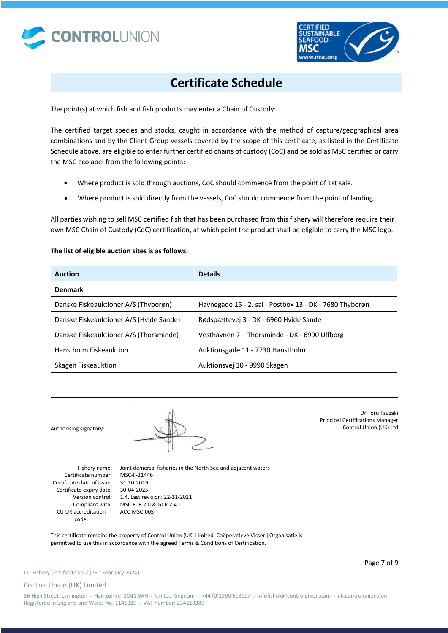



The point(s) at which fish and fish products may enter a Chain of Custody:

The certified target species and stocks, caught in accordance with the method of capture/geographical area combinations and by the Client Group vessels covered by the scope of this certificate, as listed in the Certificate Schedule above, are eligible to enter further certified chains of custody (CoC) and be sold as MSC certified or carry the MSC ecolabel from the following points:

- Where product is sold through auctions, CoC should commence from the point of 1st sale.
- Where product is sold directly from the vessels, CoC should commence from the point of landing.

All parties wishing to sell MSC certified fish that has been purchased from this fishery will therefore require their own MSC Chain of Custody (CoC) certification, at which point the product shall be eligible to carry the MSC logo.

## **The list of eligible auction sites is as follows:**

| <b>Auction</b>                          | <b>Details</b>                                          |
|-----------------------------------------|---------------------------------------------------------|
| <b>Denmark</b>                          |                                                         |
| Danske Fiskeauktioner A/S (Thyborøn)    | Havnegade 15 - 2. sal - Postbox 13 - DK - 7680 Thyborøn |
| Danske Fiskeauktioner A/S (Hvide Sande) | Rødspættevej 3 - DK - 6960 Hvide Sande                  |
| Danske Fiskeauktioner A/S (Thorsminde)  | Vesthavnen 7 – Thorsminde - DK - 6990 Ulfborg           |
| Hanstholm Fiskeauktion                  | Auktionsgade 11 - 7730 Hanstholm                        |
| Skagen Fiskeauktion                     | Auktionsvej 10 - 9990 Skagen                            |

Authorising signatory: .

Dr Toru Tsuzaki Principal Certifications Manager Control Union (UK) Ltd

Fishery name: Certificate number: Certificate date of issue: 31-10-2019 Certificate expiry date: 30-04-2025 Version control: CU UK accreditation code:

Compliant with: MSC FCR 2.0 & GCR 2.4.1 Joint demersal fisheries in the North Sea and adjacent waters MSC-F-31446 1.4, Last revision: 22-11-2021 ACC-MSC-005

This certificate remains the property of Control Union (UK) Limited. Coöperatieve Visserij Organisatie is permitted to use this in accordance with the agreed Terms & Conditions of Certification.

Page 7 of 9

### Control Union (UK) Limited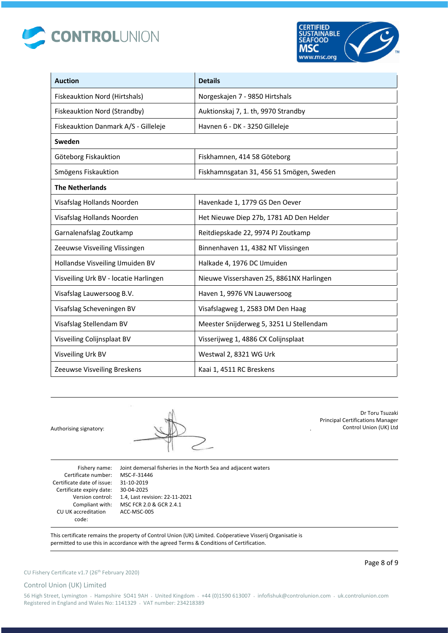



| <b>Auction</b>                        | <b>Details</b>                           |
|---------------------------------------|------------------------------------------|
| Fiskeauktion Nord (Hirtshals)         | Norgeskajen 7 - 9850 Hirtshals           |
| Fiskeauktion Nord (Strandby)          | Auktionskaj 7, 1. th, 9970 Strandby      |
| Fiskeauktion Danmark A/S - Gilleleje  | Havnen 6 - DK - 3250 Gilleleje           |
| Sweden                                |                                          |
| Göteborg Fiskauktion                  | Fiskhamnen, 414 58 Göteborg              |
| Smögens Fiskauktion                   | Fiskhamnsgatan 31, 456 51 Smögen, Sweden |
| <b>The Netherlands</b>                |                                          |
| Visafslag Hollands Noorden            | Havenkade 1, 1779 GS Den Oever           |
| Visafslag Hollands Noorden            | Het Nieuwe Diep 27b, 1781 AD Den Helder  |
| Garnalenafslag Zoutkamp               | Reitdiepskade 22, 9974 PJ Zoutkamp       |
| Zeeuwse Visveiling Vlissingen         | Binnenhaven 11, 4382 NT Vlissingen       |
| Hollandse Visveiling IJmuiden BV      | Halkade 4, 1976 DC IJmuiden              |
| Visveiling Urk BV - locatie Harlingen | Nieuwe Vissershaven 25, 8861NX Harlingen |
| Visafslag Lauwersoog B.V.             | Haven 1, 9976 VN Lauwersoog              |
| Visafslag Scheveningen BV             | Visafslagweg 1, 2583 DM Den Haag         |
| Visafslag Stellendam BV               | Meester Snijderweg 5, 3251 LJ Stellendam |
| Visveiling Colijnsplaat BV            | Visserijweg 1, 4886 CX Colijnsplaat      |
| Visveiling Urk BV                     | Westwal 2, 8321 WG Urk                   |
| Zeeuwse Visveiling Breskens           | Kaai 1, 4511 RC Breskens                 |

Authorising signatory:

Dr Toru Tsuzaki Principal Certifications Manager Control Union (UK) Ltd

Fishery name: Certificate number: MSC-F-31446 Certificate date of issue: 31-10-2019 Certificate expiry date: 30-04-2025 Version control: CU UK accreditation code:

Compliant with: MSC FCR 2.0 & GCR 2.4.1 Joint demersal fisheries in the North Sea and adjacent waters 1.4, Last revision: 22-11-2021 ACC-MSC-005

This certificate remains the property of Control Union (UK) Limited. Coöperatieve Visserij Organisatie is permitted to use this in accordance with the agreed Terms & Conditions of Certification.

## Control Union (UK) Limited